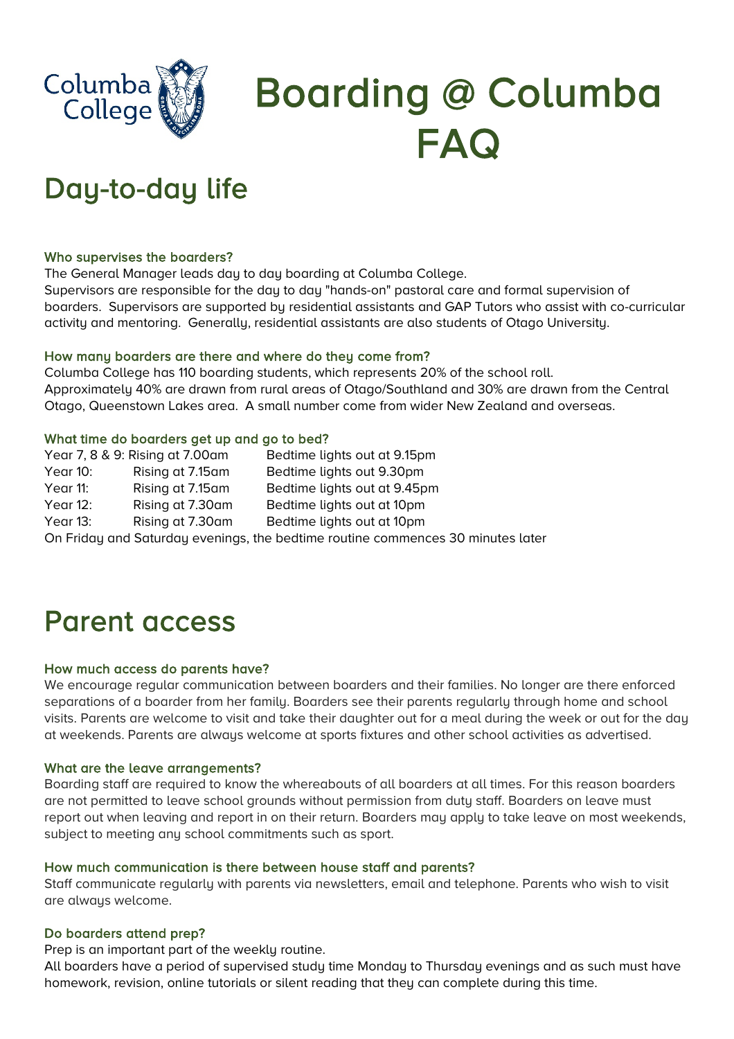

# Boarding @ Columba FAQ

# Day-to-day life

#### Who supervises the boarders?

The General Manager leads day to day boarding at Columba College.

Supervisors are responsible for the day to day "hands-on" pastoral care and formal supervision of boarders. Supervisors are supported by residential assistants and GAP Tutors who assist with co-curricular activity and mentoring. Generally, residential assistants are also students of Otago University.

#### How many boarders are there and where do they come from?

Columba College has 110 boarding students, which represents 20% of the school roll. Approximately 40% are drawn from rural areas of Otago/Southland and 30% are drawn from the Central Otago, Queenstown Lakes area. A small number come from wider New Zealand and overseas.

#### What time do boarders get up and go to bed?

|                                                                                 | Year 7, 8 & 9: Rising at 7.00am | Bedtime lights out at 9.15pm |
|---------------------------------------------------------------------------------|---------------------------------|------------------------------|
| Year 10:                                                                        | Rising at 7.15am                | Bedtime lights out 9.30pm    |
| Year 11:                                                                        | Rising at 7.15am                | Bedtime lights out at 9.45pm |
| Year $12$ :                                                                     | Rising at 7.30am                | Bedtime lights out at 10pm   |
| Year 13:                                                                        | Rising at 7.30am                | Bedtime lights out at 10pm   |
| On Friday and Saturday evenings, the bedtime routine commences 30 minutes later |                                 |                              |

### Parent access

#### How much access do parents have?

We encourage regular communication between boarders and their families. No longer are there enforced separations of a boarder from her family. Boarders see their parents regularly through home and school visits. Parents are welcome to visit and take their daughter out for a meal during the week or out for the day at weekends. Parents are always welcome at sports fixtures and other school activities as advertised.

#### What are the leave arrangements?

Boarding staff are required to know the whereabouts of all boarders at all times. For this reason boarders are not permitted to leave school grounds without permission from duty staff. Boarders on leave must report out when leaving and report in on their return. Boarders may apply to take leave on most weekends, subject to meeting any school commitments such as sport.

#### How much communication is there between house staff and parents?

Staff communicate regularly with parents via newsletters, email and telephone. Parents who wish to visit are always welcome.

#### Do boarders attend prep?

Prep is an important part of the weekly routine.

All boarders have a period of supervised study time Monday to Thursday evenings and as such must have homework, revision, online tutorials or silent reading that they can complete during this time.